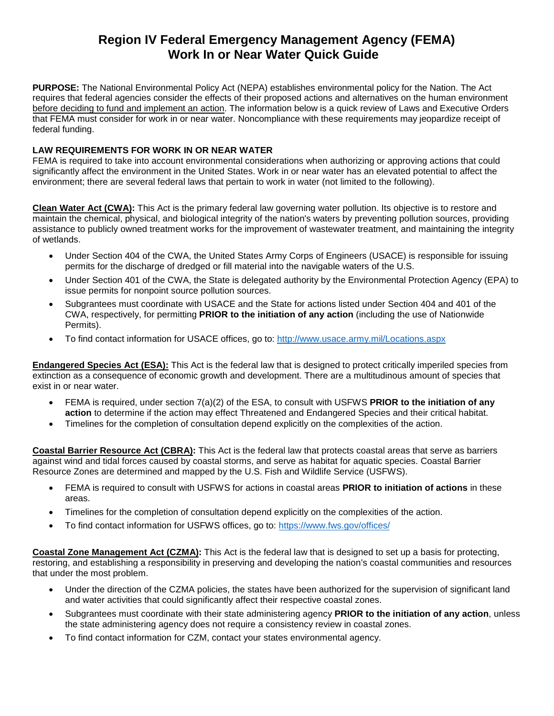## **Region IV Federal Emergency Management Agency (FEMA) Work In or Near Water Quick Guide**

**PURPOSE:** The National Environmental Policy Act (NEPA) establishes environmental policy for the Nation. The Act requires that federal agencies consider the effects of their proposed actions and alternatives on the human environment before deciding to fund and implement an action. The information below is a quick review of Laws and Executive Orders that FEMA must consider for work in or near water. Noncompliance with these requirements may jeopardize receipt of federal funding.

## **LAW REQUIREMENTS FOR WORK IN OR NEAR WATER**

FEMA is required to take into account environmental considerations when authorizing or approving actions that could significantly affect the environment in the United States. Work in or near water has an elevated potential to affect the environment; there are several federal laws that pertain to work in water (not limited to the following).

**Clean Water Act (CWA):** This Act is the primary federal law governing water pollution. Its objective is to restore and maintain the chemical, physical, and biological integrity of the nation's waters by preventing pollution sources, providing assistance to publicly owned treatment works for the improvement of wastewater treatment, and maintaining the integrity of wetlands.

- Under Section 404 of the CWA, the United States Army Corps of Engineers (USACE) is responsible for issuing permits for the discharge of dredged or fill material into the navigable waters of the U.S.
- Under Section 401 of the CWA, the State is delegated authority by the Environmental Protection Agency (EPA) to issue permits for nonpoint source pollution sources.
- Subgrantees must coordinate with USACE and the State for actions listed under Section 404 and 401 of the CWA, respectively, for permitting **PRIOR to the initiation of any action** (including the use of Nationwide Permits).
- To find contact information for USACE offices, go to:<http://www.usace.army.mil/Locations.aspx>

**Endangered Species Act (ESA):** This Act is the federal law that is designed to protect critically imperiled species from extinction as a consequence of economic growth and development. There are a multitudinous amount of species that exist in or near water.

- FEMA is required, under section 7(a)(2) of the ESA, to consult with USFWS **PRIOR to the initiation of any action** to determine if the action may effect Threatened and Endangered Species and their critical habitat.
- Timelines for the completion of consultation depend explicitly on the complexities of the action.

**Coastal Barrier Resource Act (CBRA):** This Act is the federal law that protects coastal areas that serve as barriers against wind and tidal forces caused by coastal storms, and serve as habitat for aquatic species. Coastal Barrier Resource Zones are determined and mapped by the U.S. Fish and Wildlife Service (USFWS).

- FEMA is required to consult with USFWS for actions in coastal areas **PRIOR to initiation of actions** in these areas.
- Timelines for the completion of consultation depend explicitly on the complexities of the action.
- To find contact information for USFWS offices, go to:<https://www.fws.gov/offices/>

**Coastal Zone Management Act (CZMA):** This Act is the federal law that is designed to set up a basis for protecting, restoring, and establishing a responsibility in preserving and developing the nation's coastal communities and resources that under the most problem.

- Under the direction of the CZMA policies, the states have been authorized for the supervision of significant land and water activities that could significantly affect their respective coastal zones.
- Subgrantees must coordinate with their state administering agency **PRIOR to the initiation of any action**, unless the state administering agency does not require a consistency review in coastal zones.
- To find contact information for CZM, contact your states environmental agency.